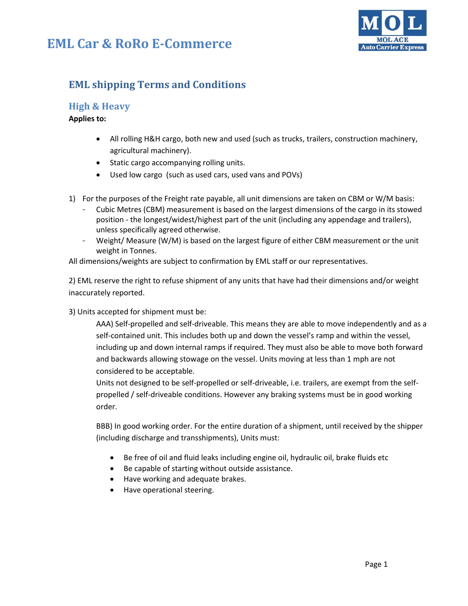## **EML Car & RoRo E-Commerce**



### **EML shipping Terms and Conditions**

### **High & Heavy**

#### **Applies to:**

- All rolling H&H cargo, both new and used (such as trucks, trailers, construction machinery, agricultural machinery).
- Static cargo accompanying rolling units.
- Used low cargo (such as used cars, used vans and POVs)
- 1) For the purposes of the Freight rate payable, all unit dimensions are taken on CBM or W/M basis:
	- Cubic Metres (CBM) measurement is based on the largest dimensions of the cargo in its stowed position - the longest/widest/highest part of the unit (including any appendage and trailers), unless specifically agreed otherwise.
	- Weight/ Measure (W/M) is based on the largest figure of either CBM measurement or the unit weight in Tonnes.

All dimensions/weights are subject to confirmation by EML staff or our representatives.

2) EML reserve the right to refuse shipment of any units that have had their dimensions and/or weight inaccurately reported.

3) Units accepted for shipment must be:

AAA) Self-propelled and self-driveable. This means they are able to move independently and as a self-contained unit. This includes both up and down the vessel's ramp and within the vessel, including up and down internal ramps if required. They must also be able to move both forward and backwards allowing stowage on the vessel. Units moving at less than 1 mph are not considered to be acceptable.

Units not designed to be self-propelled or self-driveable, i.e. trailers, are exempt from the selfpropelled / self-driveable conditions. However any braking systems must be in good working order.

BBB) In good working order. For the entire duration of a shipment, until received by the shipper (including discharge and transshipments), Units must:

- Be free of oil and fluid leaks including engine oil, hydraulic oil, brake fluids etc
- Be capable of starting without outside assistance.
- Have working and adequate brakes.
- Have operational steering.